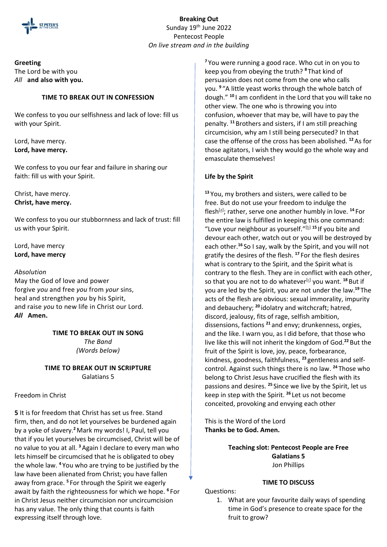

**Breaking Out** Sunday 19<sup>th</sup> June 2022 Pentecost People *On live stream and in the building*

## **Greeting**

The Lord be with you *All* **and also with you.**

#### **TIME TO BREAK OUT IN CONFESSION**

We confess to you our selfishness and lack of love: fill us with your Spirit.

Lord, have mercy. **Lord, have mercy.** 

We confess to you our fear and failure in sharing our faith: fill us with your Spirit.

Christ, have mercy. **Christ, have mercy.** 

We confess to you our stubbornness and lack of trust: fill us with your Spirit.

Lord, have mercy **Lord, have mercy**

#### *Absolution*

May the God of love and power forgive *you* and free *you* from *your* sins, heal and strengthen *you* by his Spirit, and raise *you* to new life in Christ our Lord. *All* **Amen.**

> **TIME TO BREAK OUT IN SONG** *The Band (Words below)*

### **TIME TO BREAK OUT IN SCRIPTURE** Galatians 5

## Freedom in Christ

**5** It is for freedom that Christ has set us free. Stand firm, then, and do not let yourselves be burdened again by a yoke of slavery.**<sup>2</sup>**Mark my words! I, Paul, tell you that if you let yourselves be circumcised, Christ will be of no value to you at all. **<sup>3</sup>**Again I declare to every man who lets himself be circumcised that he is obligated to obey the whole law. **<sup>4</sup>** You who are trying to be justified by the law have been alienated from Christ; you have fallen away from grace. **<sup>5</sup>** For through the Spirit we eagerly await by faith the righteousness for which we hope. **<sup>6</sup>** For in Christ Jesus neither circumcision nor uncircumcision has any value. The only thing that counts is faith expressing itself through love.

**<sup>7</sup>** You were running a good race. Who cut in on you to keep you from obeying the truth? **<sup>8</sup>** That kind of persuasion does not come from the one who calls you. **<sup>9</sup>** "A little yeast works through the whole batch of dough." **<sup>10</sup>** I am confident in the Lord that you will take no other view. The one who is throwing you into confusion, whoever that may be, will have to pay the penalty. **<sup>11</sup>** Brothers and sisters, if I am still preaching circumcision, why am I still being persecuted? In that case the offense of the cross has been abolished. **<sup>12</sup>**As for those agitators, I wish they would go the whole way and emasculate themselves!

### **Life by the Spirit**

**<sup>13</sup>** You, my brothers and sisters, were called to be free. But do not use your freedom to indulge the flesh[\[a\]](https://www.biblegateway.com/passage/?search=Galatians%205&version=NIV#fen-NIV-29176a) ; rather, serve one another humbly in love. **<sup>14</sup>** For the entire law is fulfilled in keeping this one command: "Love your neighbour as yourself."<sup>[\[b\]](https://www.biblegateway.com/passage/?search=Galatians%205&version=NIV#fen-NIV-29177b) 15</sup> If you bite and devour each other, watch out or you will be destroyed by each other.**<sup>16</sup>** So I say, walk by the Spirit, and you will not gratify the desires of the flesh. **<sup>17</sup>** For the flesh desires what is contrary to the Spirit, and the Spirit what is contrary to the flesh. They are in conflict with each other, so that you are not to do whatever<sup>[\[c\]](https://www.biblegateway.com/passage/?search=Galatians%205&version=NIV#fen-NIV-29180c)</sup> you want. <sup>18</sup> But if you are led by the Spirit, you are not under the law.**<sup>19</sup>** The acts of the flesh are obvious: sexual immorality, impurity and debauchery; **<sup>20</sup>** idolatry and witchcraft; hatred, discord, jealousy, fits of rage, selfish ambition, dissensions, factions **<sup>21</sup>** and envy; drunkenness, orgies, and the like. I warn you, as I did before, that those who live like this will not inherit the kingdom of God.**<sup>22</sup>** But the fruit of the Spirit is love, joy, peace, forbearance, kindness, goodness, faithfulness, **<sup>23</sup>** gentleness and selfcontrol. Against such things there is no law. **<sup>24</sup>** Those who belong to Christ Jesus have crucified the flesh with its passions and desires. **<sup>25</sup>** Since we live by the Spirit, let us keep in step with the Spirit. **<sup>26</sup>** Let us not become conceited, provoking and envying each other

This is the Word of the Lord **Thanks be to God. Amen.**

> **Teaching slot: Pentecost People are Free Galatians 5** Jon Phillips

## **TIME TO DISCUSS**

Questions:

1. What are your favourite daily ways of spending time in God's presence to create space for the fruit to grow?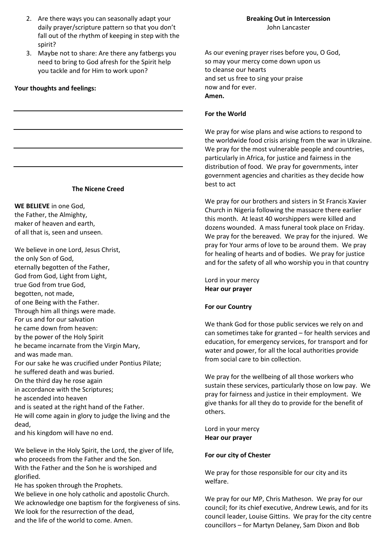- 2. Are there ways you can seasonally adapt your daily prayer/scripture pattern so that you don't fall out of the rhythm of keeping in step with the spirit?
- 3. Maybe not to share: Are there any fatbergs you need to bring to God afresh for the Spirit help you tackle and for Him to work upon?

#### **Your thoughts and feelings:**

#### **The Nicene Creed**

**WE BELIEVE** in one God, the Father, the Almighty, maker of heaven and earth, of all that is, seen and unseen.

We believe in one Lord, Jesus Christ, the only Son of God, eternally begotten of the Father, God from God, Light from Light, true God from true God, begotten, not made, of one Being with the Father. Through him all things were made. For us and for our salvation he came down from heaven: by the power of the Holy Spirit he became incarnate from the Virgin Mary, and was made man. For our sake he was crucified under Pontius Pilate; he suffered death and was buried. On the third day he rose again in accordance with the Scriptures; he ascended into heaven and is seated at the right hand of the Father. He will come again in glory to judge the living and the dead,

and his kingdom will have no end.

We believe in the Holy Spirit, the Lord, the giver of life, who proceeds from the Father and the Son. With the Father and the Son he is worshiped and glorified.

He has spoken through the Prophets. We believe in one holy catholic and apostolic Church. We acknowledge one baptism for the forgiveness of sins. We look for the resurrection of the dead, and the life of the world to come. Amen.

As our evening prayer rises before you, O God, so may your mercy come down upon us to cleanse our hearts and set us free to sing your praise now and for ever. **Amen.**

#### **For the World**

We pray for wise plans and wise actions to respond to the worldwide food crisis arising from the war in Ukraine. We pray for the most vulnerable people and countries, particularly in Africa, for justice and fairness in the distribution of food. We pray for governments, inter government agencies and charities as they decide how best to act

We pray for our brothers and sisters in St Francis Xavier Church in Nigeria following the massacre there earlier this month. At least 40 worshippers were killed and dozens wounded. A mass funeral took place on Friday. We pray for the bereaved. We pray for the injured. We pray for Your arms of love to be around them. We pray for healing of hearts and of bodies. We pray for justice and for the safety of all who worship you in that country

Lord in your mercy **Hear our prayer**

### **For our Country**

We thank God for those public services we rely on and can sometimes take for granted – for health services and education, for emergency services, for transport and for water and power, for all the local authorities provide from social care to bin collection.

We pray for the wellbeing of all those workers who sustain these services, particularly those on low pay. We pray for fairness and justice in their employment. We give thanks for all they do to provide for the benefit of others.

Lord in your mercy **Hear our prayer**

#### **For our city of Chester**

We pray for those responsible for our city and its welfare.

We pray for our MP, Chris Matheson. We pray for our council; for its chief executive, Andrew Lewis, and for its council leader, Louise Gittins. We pray for the city centre councillors – for Martyn Delaney, Sam Dixon and Bob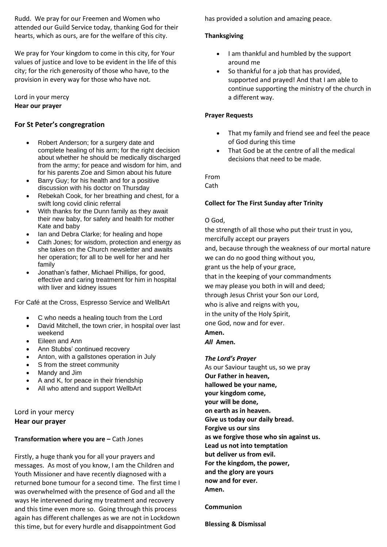Rudd. We pray for our Freemen and Women who attended our Guild Service today, thanking God for their hearts, which as ours, are for the welfare of this city.

We pray for Your kingdom to come in this city, for Your values of justice and love to be evident in the life of this city; for the rich generosity of those who have, to the provision in every way for those who have not.

Lord in your mercy **Hear our prayer**

## **For St Peter's congregration**

- Robert Anderson; for a surgery date and complete healing of his arm; for the right decision about whether he should be medically discharged from the army; for peace and wisdom for him, and for his parents Zoe and Simon about his future
- Barry Guy; for his health and for a positive discussion with his doctor on Thursday
- Rebekah Cook, for her breathing and chest, for a swift long covid clinic referral
- With thanks for the Dunn family as they await their new baby, for safety and health for mother Kate and baby
- Ian and Debra Clarke; for healing and hope
- Cath Jones; for wisdom, protection and energy as she takes on the Church newsletter and awaits her operation; for all to be well for her and her family
- Jonathan's father, Michael Phillips, for good, effective and caring treatment for him in hospital with liver and kidney issues

For Café at the Cross, Espresso Service and WellbArt

- C who needs a healing touch from the Lord
- David Mitchell, the town crier, in hospital over last weekend
- Eileen and Ann
- Ann Stubbs' continued recovery
- Anton, with a gallstones operation in July
- S from the street community
- Mandy and Jim
- A and K, for peace in their friendship
- All who attend and support WellbArt

Lord in your mercy **Hear our prayer**

# **Transformation where you are – Cath Jones**

Firstly, a huge thank you for all your prayers and messages. As most of you know, I am the Children and Youth Missioner and have recently diagnosed with a returned bone tumour for a second time. The first time I was overwhelmed with the presence of God and all the ways He intervened during my treatment and recovery and this time even more so. Going through this process again has different challenges as we are not in Lockdown this time, but for every hurdle and disappointment God

has provided a solution and amazing peace.

# **Thanksgiving**

- I am thankful and humbled by the support around me
- So thankful for a job that has provided, supported and prayed! And that I am able to continue supporting the ministry of the church in a different way.

# **Prayer Requests**

- That my family and friend see and feel the peace of God during this time
- That God be at the centre of all the medical decisions that need to be made.

From

Cath

# **Collect for The First Sunday after Trinity**

## O God,

the strength of all those who put their trust in you, mercifully accept our prayers and, because through the weakness of our mortal nature we can do no good thing without you, grant us the help of your grace, that in the keeping of your commandments we may please you both in will and deed; through Jesus Christ your Son our Lord, who is alive and reigns with you, in the unity of the Holy Spirit, one God, now and for ever. **Amen.** *All* **Amen.**

### *The Lord's Prayer*

As our Saviour taught us, so we pray **Our Father in heaven, hallowed be your name, your kingdom come, your will be done, on earth as in heaven. Give us today our daily bread. Forgive us our sins as we forgive those who sin against us. Lead us not into temptation but deliver us from evil. For the kingdom, the power, and the glory are yours now and for ever. Amen.**

# **Communion**

**Blessing & Dismissal**